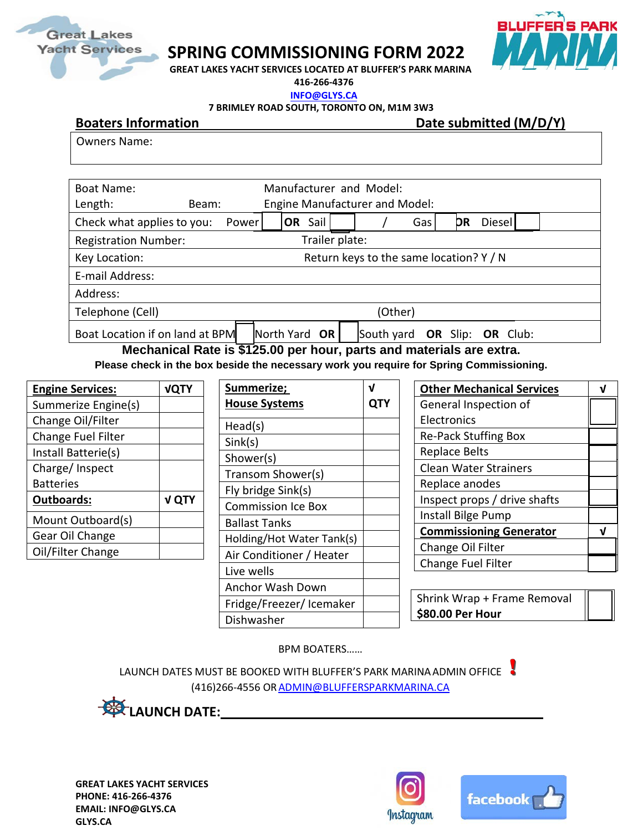

## **SPRING COMMISSIONING FORM 2022**



**GREAT LAKES YACHT SERVICES LOCATED AT BLUFFER'S PARK MARINA** 

**416-266-4376 [INFO@GLYS.CA](mailto:INFO@GLYS.CA)**

**7 BRIMLEY ROAD SOUTH, TORONTO ON, M1M 3W3**

**Boaters Information Date submitted (M/D/Y)** 

Owners Name:

| Boat Name:<br>Length:           | Beam:                                   | Manufacturer and Model:<br>Engine Manufacturer and Model: |            |     |    |                                 |
|---------------------------------|-----------------------------------------|-----------------------------------------------------------|------------|-----|----|---------------------------------|
| Check what applies to you:      | <b>Power</b>                            | OR Sail                                                   |            | Gas | DR | Diesel                          |
| <b>Registration Number:</b>     |                                         | Trailer plate:                                            |            |     |    |                                 |
| Key Location:                   | Return keys to the same location? Y / N |                                                           |            |     |    |                                 |
| E-mail Address:                 |                                         |                                                           |            |     |    |                                 |
| Address:                        |                                         |                                                           |            |     |    |                                 |
| Telephone (Cell)<br>(Other)     |                                         |                                                           |            |     |    |                                 |
| Boat Location if on land at BPM |                                         | North Yard OR                                             | South yard |     |    | <b>OR</b> Slip: <b>OR</b> Club: |

**Mechanical Rate is \$125.00 per hour, parts and materials are extra.** 

**Please check in the box beside the necessary work you require for Spring Commissioning.**

| <b>Engine Services:</b> | <b>VQTY</b>  |
|-------------------------|--------------|
| Summerize Engine(s)     |              |
| Change Oil/Filter       |              |
| Change Fuel Filter      |              |
| Install Batterie(s)     |              |
| Charge/ Inspect         |              |
| <b>Batteries</b>        |              |
| <b>Outboards:</b>       | <b>V QTY</b> |
| Mount Outboard(s)       |              |
| Gear Oil Change         |              |
| Oil/Filter Change       |              |

| Summerize;<br><b>House Systems</b> |  |
|------------------------------------|--|
| Head(s)                            |  |
| Sink(s)                            |  |
| Shower(s)                          |  |
| Transom Shower(s)                  |  |
| Fly bridge Sink(s)                 |  |
| <b>Commission Ice Box</b>          |  |
| Ballast Tanks                      |  |
| Holding/Hot Water Tank(s)          |  |
| Air Conditioner / Heater           |  |
| Live wells                         |  |
| Anchor Wash Down                   |  |
| Fridge/Freezer/Icemaker            |  |
| Dishwasher                         |  |

| <b>Other Mechanical Services</b> |  |
|----------------------------------|--|
| General Inspection of            |  |
| Electronics                      |  |
| <b>Re-Pack Stuffing Box</b>      |  |
| <b>Replace Belts</b>             |  |
| <b>Clean Water Strainers</b>     |  |
| Replace anodes                   |  |
| Inspect props / drive shafts     |  |
| Install Bilge Pump               |  |
| <b>Commissioning Generator</b>   |  |
| Change Oil Filter                |  |
| Change Fuel Filter               |  |

Shrink Wrap + Frame Removal **\$80.00 Per Hour**

BPM BOATERS……

LAUNCH DATES MUST BE BOOKED WITH BLUFFER'S PARK MARINA ADMIN OFFICE (416)266-4556 O[RADMIN@BLUFFERSPARKMARINA.CA](mailto:ADMIN@BLUFFERSPARKMARINA.CA)

**LAUNCH DATE:** 2000